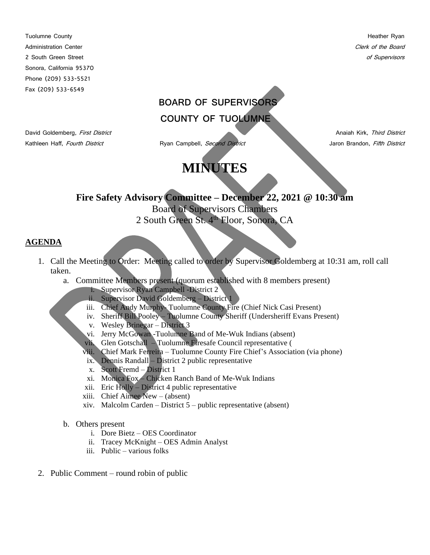Tuolumne County **Heather Ryan** Administration Center Contract Clerk of the Board Clerk of the Board Clerk of the Board Clerk of the Board Clerk of the Board Clerk of the Board Clerk of the Board Clerk of the Board Clerk of the Board Clerk of the Board C 2 South Green Street of Supervisors and Supervisors and Supervisors and Supervisors of Supervisors of Supervisors Sonora, California 95370 Phone (209) 533-5521 Fax (209) 533-6549

## **BOARD OF SUPERVISORS COUNTY OF TUOLUMNE**

Kathleen Haff, Fourth District **Ryan Campbell**, Second District **Research Campbell**, Second District Jaron Brandon, Fifth District

David Goldemberg, First District Anaiah Kirk, Third District

**Fire Safety Advisory Committee – December 22, 2021 @ 10:30 am** Board of Supervisors Chambers

**MINUTES** 

2 South Green St. 4<sup>th</sup> Floor, Sonora, CA

## **AGENDA**

- 1. Call the Meeting to Order: Meeting called to order by Supervisor Goldemberg at 10:31 am, roll call taken.
	- a. Committee Members present (quorum established with 8 members present)
		- i. Supervisor Ryan Campbell -District 2
		- ii. Supervisor David Goldemberg District 1
		- iii. Chief Andy Murphy- Tuolumne County Fire (Chief Nick Casi Present)
		- iv. Sheriff Bill Pooley Tuolumne County Sheriff (Undersheriff Evans Present)
		- v. Wesley Brinegar District 3
		- vi. Jerry McGowan -Tuolumne Band of Me-Wuk Indians (absent)
		- vii. Glen Gotschall Tuolumne Firesafe Council representative (
		- viii. Chief Mark Ferreira Tuolumne County Fire Chief's Association (via phone)
		- ix. Dennis Randall District 2 public representative
		- x. Scott Fremd District 1
		- xi. Monica Fox Chicken Ranch Band of Me-Wuk Indians
		- xii. Eric Holly District 4 public representative
		- xiii. Chief Aimee New (absent)
		- xiv. Malcolm Carden District  $5$  public representative (absent)
	- b. Others present
		- i. Dore Bietz OES Coordinator
		- ii. Tracey McKnight OES Admin Analyst
		- iii. Public various folks
- 2. Public Comment round robin of public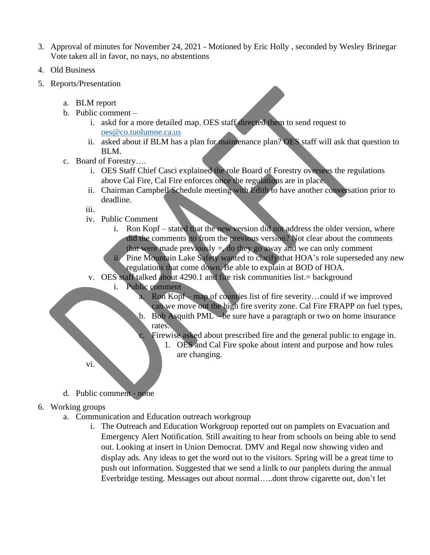- 3. Approval of minutes for November 24, 2021 Motioned by Eric Holly , seconded by Wesley Brinegar Vote taken all in favor, no nays, no abstentions
- 4. Old Business
- 5. Reports/Presentation
	- a. BLM report
	- b. Public comment
		- i. askd for a more detailed map. OES staff directed them to send request to [oes@co.tuolumne.ca.us](mailto:oes@co.tuolumne.ca.us)
		- ii. asked about if BLM has a plan for maintenance plan? OES staff will ask that question to BLM.
	- c. Board of Forestry….
		- i. OES Staff Chief Casci explained the role Board of Forestry oversees the regulations above Cal Fire, Cal Fire enforces once the regulations are in place.
		- ii. Chairman Campbell Schedule meeting with Edith to have another conversation prior to deadline.
		- iii.
		- iv. Public Comment
			- i. Ron Kopf stated that the new version did not address the older version, where did the comments go from the previous version? Not clear about the comments that were made previously  $=$ , do they go away and we can only comment
			- ii. Pine Mountain Lake Safety wanted to clarify that HOA's role superseded any new regulations that come down. Be able to explain at BOD of HOA.
		- v. OES staff talked about 4290.1 and fire risk communities list.= background
			- i. Public comment
				- a. Ron Kopf map of counties list of fire severity…could if we improved can we move out the high fire sverity zone. Cal Fire FRAPP on fuel types, b. Bob Asquith PML – be sure have a paragraph or two on home insurance
				- rates.
				- c. Firewise asked about prescribed fire and the general public to engage in.
					- 1. OES and Cal Fire spoke about intent and purpose and how rules are changing.
	- d. Public comment none

vi.

- 6. Working groups
	- a. Communication and Education outreach workgroup
		- i. The Outreach and Education Workgroup reported out on pamplets on Evacuation and Emergency Alert Notification. Still awaiting to hear from schools on being able to send out. Looking at insert in Union Democrat. DMV and Regal now showing video and display ads. Any ideas to get the word out to the visitors. Spring will be a great time to push out information. Suggested that we send a linlk to our panplets during the annual Everbridge testing. Messages out about normal…..dont throw cigarette out, don't let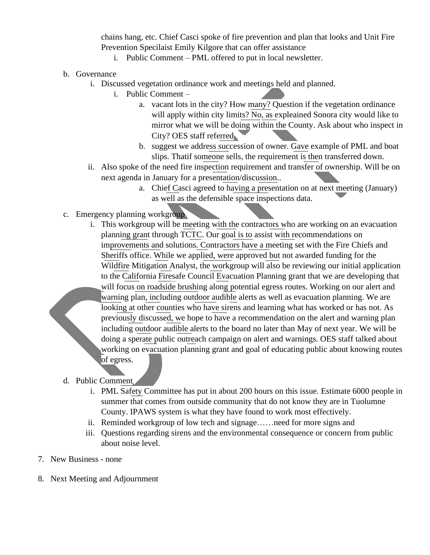chains hang, etc. Chief Casci spoke of fire prevention and plan that looks and Unit Fire Prevention Specilaist Emily Kilgore that can offer assistance

- i. Public Comment PML offered to put in local newsletter.
- b. Governance
	- i. Discussed vegetation ordinance work and meetings held and planned.
		- i. Public Comment
			- a. vacant lots in the city? How many? Question if the vegetation ordinance will apply within city limits? No, as expleained Sonora city would like to mirror what we will be doing within the County. Ask about who inspect in City? OES staff referred
			- b. suggest we address succession of owner. Gave example of PML and boat slips. Thatif someone sells, the requirement is then transferred down.
	- ii. Also spoke of the need fire inspection requirement and transfer of ownership. Will be on next agenda in January for a presentation/discussion..
		- a. Chief Casci agreed to having a presentation on at next meeting (January) as well as the defensible space inspections data.
- c. Emergency planning workgroup
	- i. This workgroup will be meeting with the contractors who are working on an evacuation planning grant through TCTC. Our goal is to assist with recommendations on improvements and solutions. Contractors have a meeting set with the Fire Chiefs and Sheriffs office. While we applied, were approved but not awarded funding for the Wildfire Mitigation Analyst, the workgroup will also be reviewing our initial application to the California Firesafe Council Evacuation Planning grant that we are developing that will focus on roadside brushing along potential egress routes. Working on our alert and warning plan, including outdoor audible alerts as well as evacuation planning. We are looking at other counties who have sirens and learning what has worked or has not. As previously discussed, we hope to have a recommendation on the alert and warning plan including outdoor audible alerts to the board no later than May of next year. We will be doing a sperate public outreach campaign on alert and warnings. OES staff talked about working on evacuation planning grant and goal of educating public about knowing routes of egress.
- d. Public Comment
	- i. PML Safety Committee has put in about 200 hours on this issue. Estimate 6000 people in summer that comes from outside community that do not know they are in Tuolumne County. IPAWS system is what they have found to work most effectively.
	- ii. Reminded workgroup of low tech and signage……need for more signs and
	- iii. Questions regarding sirens and the environmental consequence or concern from public about noise level.
- 7. New Business none
- 8. Next Meeting and Adjournment